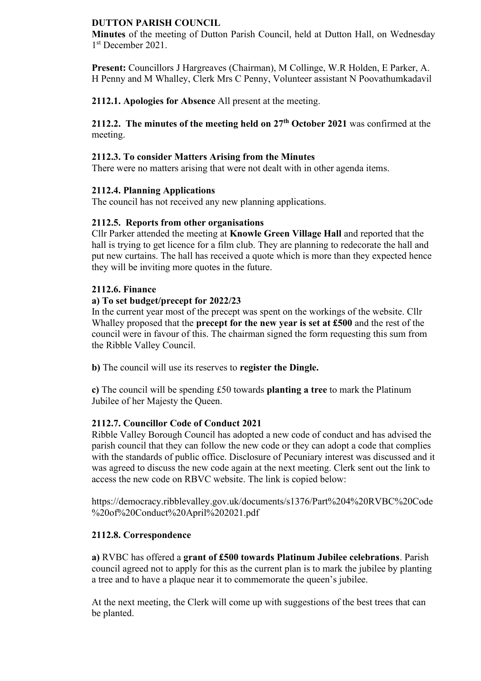#### **DUTTON PARISH COUNCIL**

**Minutes** of the meeting of Dutton Parish Council, held at Dutton Hall, on Wednesday 1 st December 2021.

**Present:** Councillors J Hargreaves (Chairman), M Collinge, W.R Holden, E Parker, A. H Penny and M Whalley, Clerk Mrs C Penny, Volunteer assistant N Poovathumkadavil

**2112.1. Apologies for Absence** All present at the meeting.

**2112.2. The minutes of the meeting held on 27th October 2021** was confirmed at the meeting.

### **2112.3. To consider Matters Arising from the Minutes**

There were no matters arising that were not dealt with in other agenda items.

## **2112.4. Planning Applications**

The council has not received any new planning applications.

## **2112.5. Reports from other organisations**

Cllr Parker attended the meeting at **Knowle Green Village Hall** and reported that the hall is trying to get licence for a film club. They are planning to redecorate the hall and put new curtains. The hall has received a quote which is more than they expected hence they will be inviting more quotes in the future.

#### **2112.6. Finance**

## **a) To set budget/precept for 2022/23**

In the current year most of the precept was spent on the workings of the website. Cllr Whalley proposed that the **precept for the new year is set at £500** and the rest of the council were in favour of this. The chairman signed the form requesting this sum from the Ribble Valley Council.

**b)** The council will use its reserves to **register the Dingle.**

**c)** The council will be spending £50 towards **planting a tree** to mark the Platinum Jubilee of her Majesty the Queen.

# **2112.7. Councillor Code of Conduct 2021**

Ribble Valley Borough Council has adopted a new code of conduct and has advised the parish council that they can follow the new code or they can adopt a code that complies with the standards of public office. Disclosure of Pecuniary interest was discussed and it was agreed to discuss the new code again at the next meeting. Clerk sent out the link to access the new code on RBVC website. The link is copied below:

https://democracy.ribblevalley.gov.uk/documents/s1376/Part%204%20RVBC%20Code %20of%20Conduct%20April%202021.pdf

# **2112.8. Correspondence**

**a)** RVBC has offered a **grant of £500 towards Platinum Jubilee celebrations**. Parish council agreed not to apply for this as the current plan is to mark the jubilee by planting a tree and to have a plaque near it to commemorate the queen's jubilee.

At the next meeting, the Clerk will come up with suggestions of the best trees that can be planted.